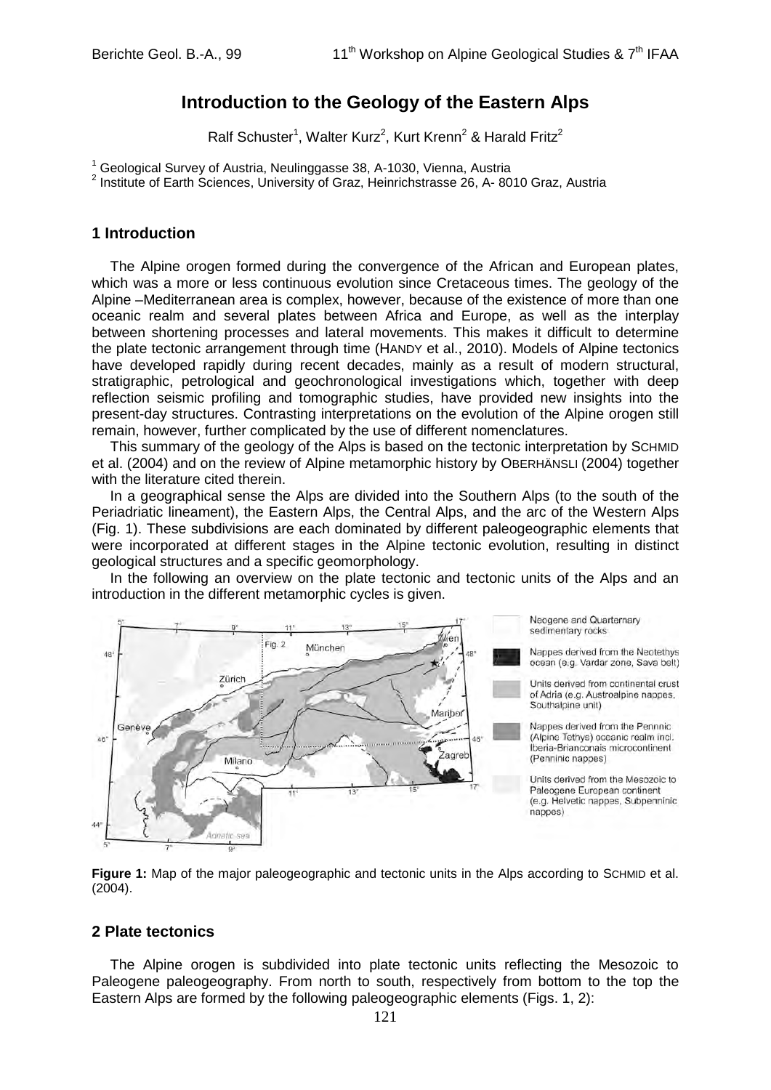# **Introduction to the Geology of the Eastern Alps**

Ralf Schuster<sup>1</sup>, Walter Kurz<sup>2</sup>, Kurt Krenn<sup>2</sup> & Harald Fritz<sup>2</sup>

<sup>1</sup> Geological Survey of Austria, Neulinggasse 38, A-1030, Vienna, Austria

2 Institute of Earth Sciences, University of Graz, Heinrichstrasse 26, A- 8010 Graz, Austria

#### **1 Introduction**

The Alpine orogen formed during the convergence of the African and European plates, which was a more or less continuous evolution since Cretaceous times. The geology of the Alpine –Mediterranean area is complex, however, because of the existence of more than one oceanic realm and several plates between Africa and Europe, as well as the interplay between shortening processes and lateral movements. This makes it difficult to determine the plate tectonic arrangement through time (HANDY et al., 2010). Models of Alpine tectonics have developed rapidly during recent decades, mainly as a result of modern structural, stratigraphic, petrological and geochronological investigations which, together with deep reflection seismic profiling and tomographic studies, have provided new insights into the present-day structures. Contrasting interpretations on the evolution of the Alpine orogen still remain, however, further complicated by the use of different nomenclatures.

This summary of the geology of the Alps is based on the tectonic interpretation by SCHMID et al. (2004) and on the review of Alpine metamorphic history by OBERHÄNSLI (2004) together with the literature cited therein.

In a geographical sense the Alps are divided into the Southern Alps (to the south of the Periadriatic lineament), the Eastern Alps, the Central Alps, and the arc of the Western Alps (Fig. 1). These subdivisions are each dominated by different paleogeographic elements that were incorporated at different stages in the Alpine tectonic evolution, resulting in distinct geological structures and a specific geomorphology.

In the following an overview on the plate tectonic and tectonic units of the Alps and an introduction in the different metamorphic cycles is given.



**Figure 1:** Map of the major paleogeographic and tectonic units in the Alps according to SCHMID et al. (2004).

### **2 Plate tectonics**

The Alpine orogen is subdivided into plate tectonic units reflecting the Mesozoic to Paleogene paleogeography. From north to south, respectively from bottom to the top the Eastern Alps are formed by the following paleogeographic elements (Figs. 1, 2):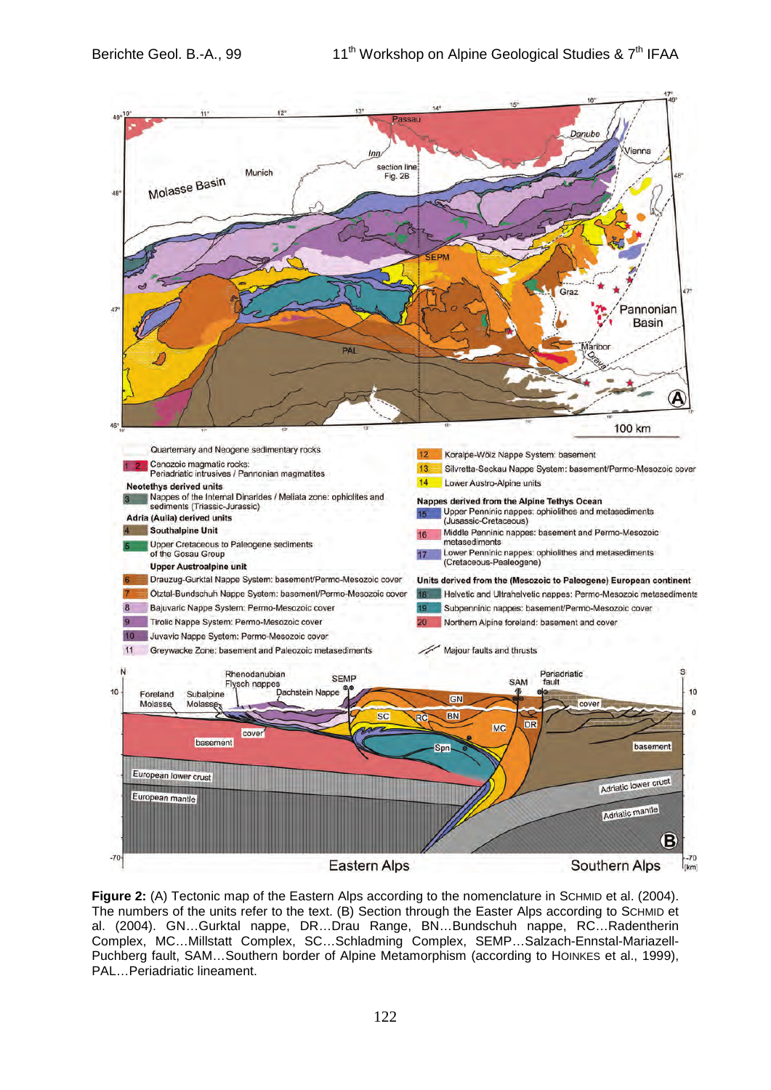

Figure 2: (A) Tectonic map of the Eastern Alps according to the nomenclature in SCHMID et al. (2004). The numbers of the units refer to the text. (B) Section through the Easter Alps according to SCHMID et al. (2004). GN…Gurktal nappe, DR…Drau Range, BN…Bundschuh nappe, RC…Radentherin Complex, MC…Millstatt Complex, SC…Schladming Complex, SEMP…Salzach-Ennstal-Mariazell-Puchberg fault, SAM…Southern border of Alpine Metamorphism (according to HOINKES et al., 1999), PAL…Periadriatic lineament.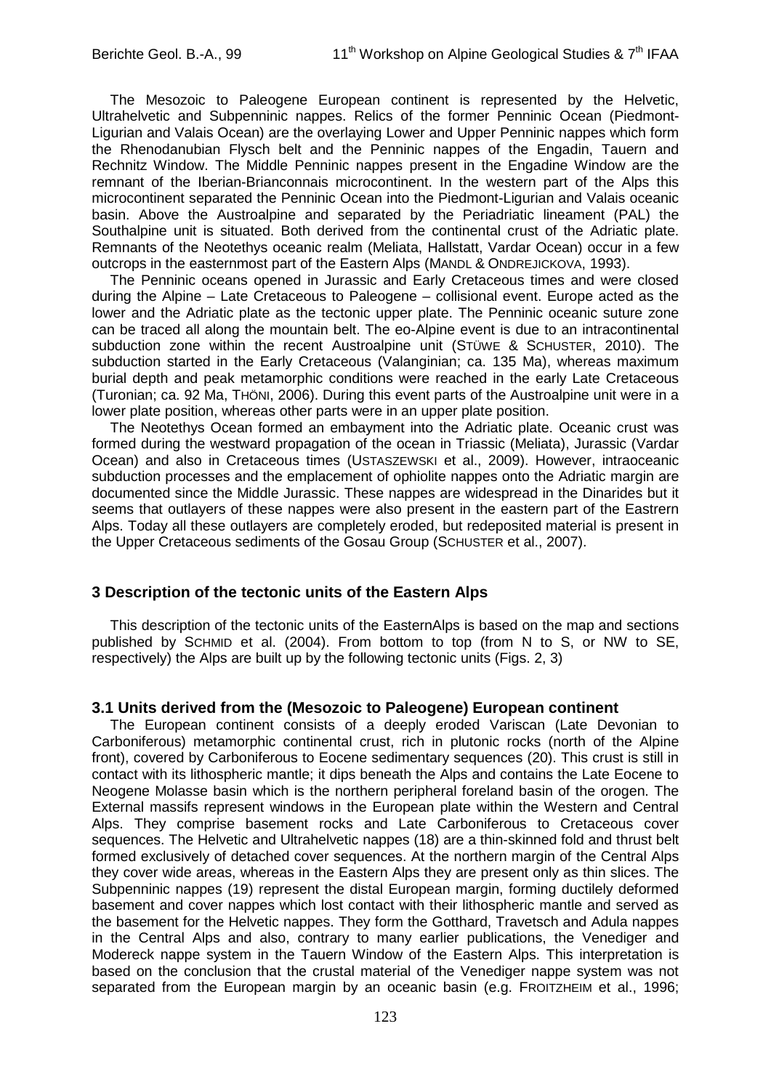The Mesozoic to Paleogene European continent is represented by the Helvetic, Ultrahelvetic and Subpenninic nappes. Relics of the former Penninic Ocean (Piedmont-Ligurian and Valais Ocean) are the overlaying Lower and Upper Penninic nappes which form the Rhenodanubian Flysch belt and the Penninic nappes of the Engadin, Tauern and Rechnitz Window. The Middle Penninic nappes present in the Engadine Window are the remnant of the Iberian-Brianconnais microcontinent. In the western part of the Alps this microcontinent separated the Penninic Ocean into the Piedmont-Ligurian and Valais oceanic basin. Above the Austroalpine and separated by the Periadriatic lineament (PAL) the Southalpine unit is situated. Both derived from the continental crust of the Adriatic plate. Remnants of the Neotethys oceanic realm (Meliata, Hallstatt, Vardar Ocean) occur in a few outcrops in the easternmost part of the Eastern Alps (MANDL & ONDREJICKOVA, 1993).

The Penninic oceans opened in Jurassic and Early Cretaceous times and were closed during the Alpine – Late Cretaceous to Paleogene – collisional event. Europe acted as the lower and the Adriatic plate as the tectonic upper plate. The Penninic oceanic suture zone can be traced all along the mountain belt. The eo-Alpine event is due to an intracontinental subduction zone within the recent Austroalpine unit (STÜWE & SCHUSTER, 2010). The subduction started in the Early Cretaceous (Valanginian; ca. 135 Ma), whereas maximum burial depth and peak metamorphic conditions were reached in the early Late Cretaceous (Turonian; ca. 92 Ma, THÖNI, 2006). During this event parts of the Austroalpine unit were in a lower plate position, whereas other parts were in an upper plate position.

The Neotethys Ocean formed an embayment into the Adriatic plate. Oceanic crust was formed during the westward propagation of the ocean in Triassic (Meliata), Jurassic (Vardar Ocean) and also in Cretaceous times (USTASZEWSKI et al., 2009). However, intraoceanic subduction processes and the emplacement of ophiolite nappes onto the Adriatic margin are documented since the Middle Jurassic. These nappes are widespread in the Dinarides but it seems that outlayers of these nappes were also present in the eastern part of the Eastrern Alps. Today all these outlayers are completely eroded, but redeposited material is present in the Upper Cretaceous sediments of the Gosau Group (SCHUSTER et al., 2007).

### **3 Description of the tectonic units of the Eastern Alps**

This description of the tectonic units of the EasternAlps is based on the map and sections published by SCHMID et al. (2004). From bottom to top (from N to S, or NW to SE, respectively) the Alps are built up by the following tectonic units (Figs. 2, 3)

### **3.1 Units derived from the (Mesozoic to Paleogene) European continent**

The European continent consists of a deeply eroded Variscan (Late Devonian to Carboniferous) metamorphic continental crust, rich in plutonic rocks (north of the Alpine front), covered by Carboniferous to Eocene sedimentary sequences (20). This crust is still in contact with its lithospheric mantle; it dips beneath the Alps and contains the Late Eocene to Neogene Molasse basin which is the northern peripheral foreland basin of the orogen. The External massifs represent windows in the European plate within the Western and Central Alps. They comprise basement rocks and Late Carboniferous to Cretaceous cover sequences. The Helvetic and Ultrahelvetic nappes (18) are a thin-skinned fold and thrust belt formed exclusively of detached cover sequences. At the northern margin of the Central Alps they cover wide areas, whereas in the Eastern Alps they are present only as thin slices. The Subpenninic nappes (19) represent the distal European margin, forming ductilely deformed basement and cover nappes which lost contact with their lithospheric mantle and served as the basement for the Helvetic nappes. They form the Gotthard, Travetsch and Adula nappes in the Central Alps and also, contrary to many earlier publications, the Venediger and Modereck nappe system in the Tauern Window of the Eastern Alps. This interpretation is based on the conclusion that the crustal material of the Venediger nappe system was not separated from the European margin by an oceanic basin (e.g. FROITZHEIM et al., 1996;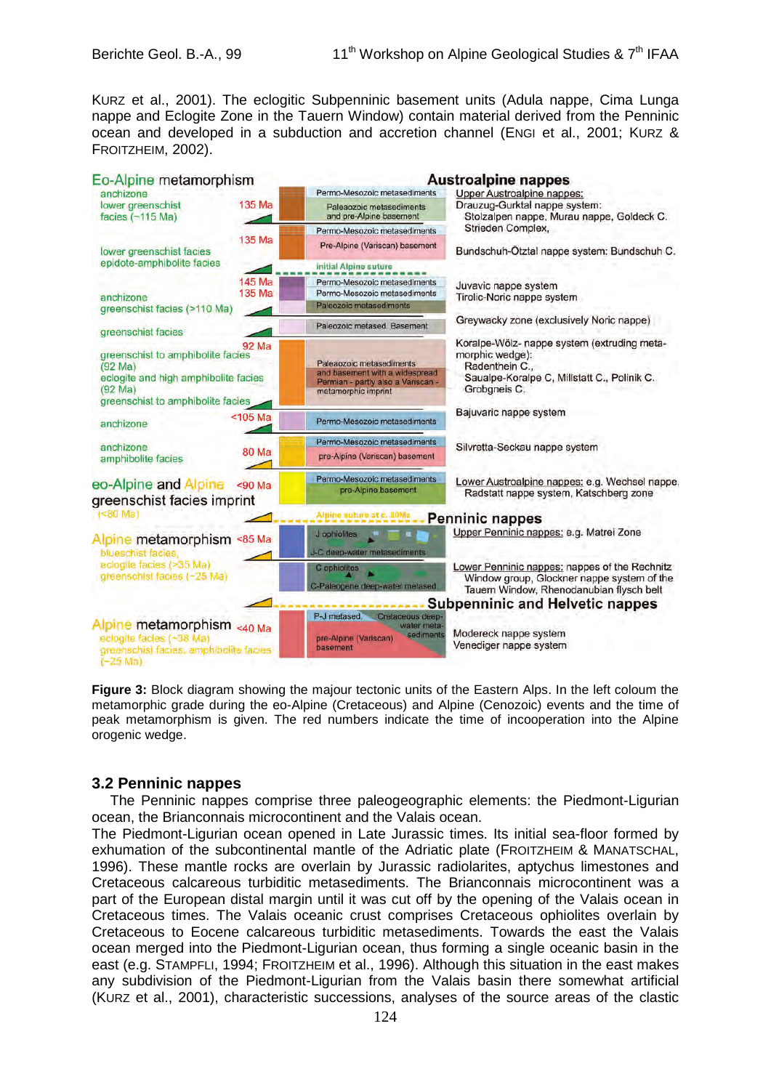KURZ et al., 2001). The eclogitic Subpenninic basement units (Adula nappe, Cima Lunga nappe and Eclogite Zone in the Tauern Window) contain material derived from the Penninic ocean and developed in a subduction and accretion channel (ENGI et al., 2001; KURZ & FROITZHEIM, 2002).



**Figure 3:** Block diagram showing the majour tectonic units of the Eastern Alps. In the left coloum the metamorphic grade during the eo-Alpine (Cretaceous) and Alpine (Cenozoic) events and the time of peak metamorphism is given. The red numbers indicate the time of incooperation into the Alpine orogenic wedge.

### **3.2 Penninic nappes**

The Penninic nappes comprise three paleogeographic elements: the Piedmont-Ligurian ocean, the Brianconnais microcontinent and the Valais ocean.

The Piedmont-Ligurian ocean opened in Late Jurassic times. Its initial sea-floor formed by exhumation of the subcontinental mantle of the Adriatic plate (FROITZHEIM & MANATSCHAL, 1996). These mantle rocks are overlain by Jurassic radiolarites, aptychus limestones and Cretaceous calcareous turbiditic metasediments. The Brianconnais microcontinent was a part of the European distal margin until it was cut off by the opening of the Valais ocean in Cretaceous times. The Valais oceanic crust comprises Cretaceous ophiolites overlain by Cretaceous to Eocene calcareous turbiditic metasediments. Towards the east the Valais ocean merged into the Piedmont-Ligurian ocean, thus forming a single oceanic basin in the east (e.g. STAMPFLI, 1994; FROITZHEIM et al., 1996). Although this situation in the east makes any subdivision of the Piedmont-Ligurian from the Valais basin there somewhat artificial (KURZ et al., 2001), characteristic successions, analyses of the source areas of the clastic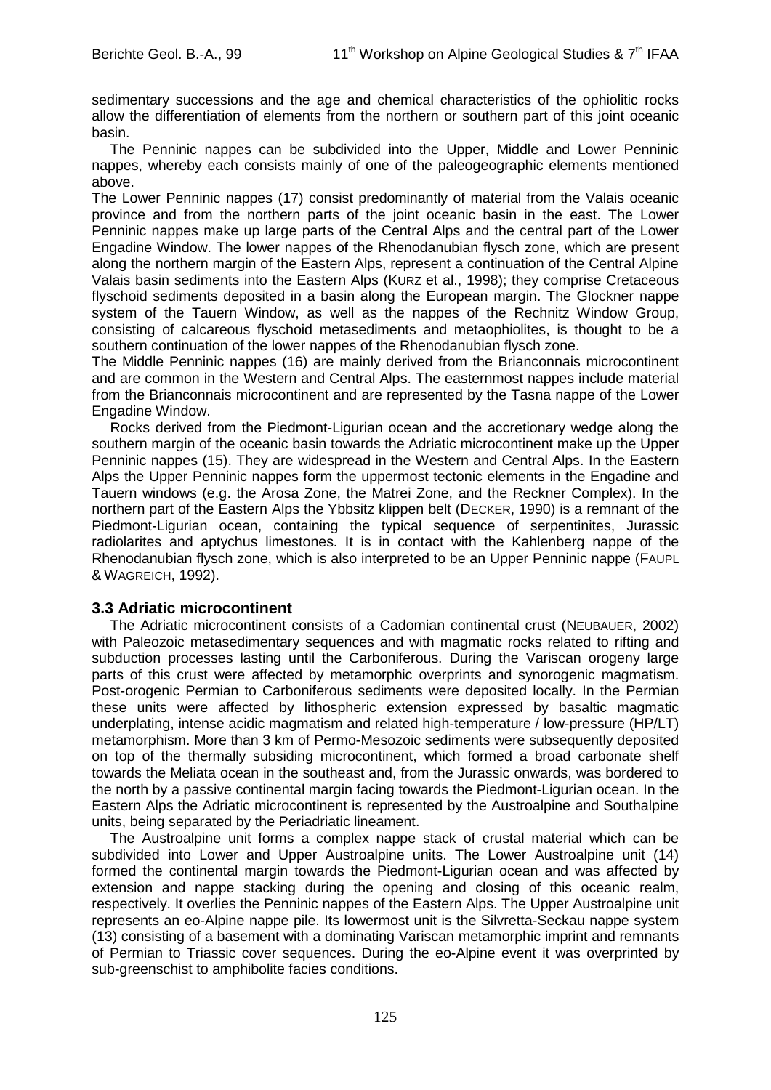sedimentary successions and the age and chemical characteristics of the ophiolitic rocks allow the differentiation of elements from the northern or southern part of this joint oceanic basin.

The Penninic nappes can be subdivided into the Upper, Middle and Lower Penninic nappes, whereby each consists mainly of one of the paleogeographic elements mentioned above.

The Lower Penninic nappes (17) consist predominantly of material from the Valais oceanic province and from the northern parts of the joint oceanic basin in the east. The Lower Penninic nappes make up large parts of the Central Alps and the central part of the Lower Engadine Window. The lower nappes of the Rhenodanubian flysch zone, which are present along the northern margin of the Eastern Alps, represent a continuation of the Central Alpine Valais basin sediments into the Eastern Alps (KURZ et al., 1998); they comprise Cretaceous flyschoid sediments deposited in a basin along the European margin. The Glockner nappe system of the Tauern Window, as well as the nappes of the Rechnitz Window Group, consisting of calcareous flyschoid metasediments and metaophiolites, is thought to be a southern continuation of the lower nappes of the Rhenodanubian flysch zone.

The Middle Penninic nappes (16) are mainly derived from the Brianconnais microcontinent and are common in the Western and Central Alps. The easternmost nappes include material from the Brianconnais microcontinent and are represented by the Tasna nappe of the Lower Engadine Window.

Rocks derived from the Piedmont-Ligurian ocean and the accretionary wedge along the southern margin of the oceanic basin towards the Adriatic microcontinent make up the Upper Penninic nappes (15). They are widespread in the Western and Central Alps. In the Eastern Alps the Upper Penninic nappes form the uppermost tectonic elements in the Engadine and Tauern windows (e.g. the Arosa Zone, the Matrei Zone, and the Reckner Complex). In the northern part of the Eastern Alps the Ybbsitz klippen belt (DECKER, 1990) is a remnant of the Piedmont-Ligurian ocean, containing the typical sequence of serpentinites, Jurassic radiolarites and aptychus limestones. It is in contact with the Kahlenberg nappe of the Rhenodanubian flysch zone, which is also interpreted to be an Upper Penninic nappe (FAUPL & WAGREICH, 1992).

## **3.3 Adriatic microcontinent**

The Adriatic microcontinent consists of a Cadomian continental crust (NEUBAUER, 2002) with Paleozoic metasedimentary sequences and with magmatic rocks related to rifting and subduction processes lasting until the Carboniferous. During the Variscan orogeny large parts of this crust were affected by metamorphic overprints and synorogenic magmatism. Post-orogenic Permian to Carboniferous sediments were deposited locally. In the Permian these units were affected by lithospheric extension expressed by basaltic magmatic underplating, intense acidic magmatism and related high-temperature / low-pressure (HP/LT) metamorphism. More than 3 km of Permo-Mesozoic sediments were subsequently deposited on top of the thermally subsiding microcontinent, which formed a broad carbonate shelf towards the Meliata ocean in the southeast and, from the Jurassic onwards, was bordered to the north by a passive continental margin facing towards the Piedmont-Ligurian ocean. In the Eastern Alps the Adriatic microcontinent is represented by the Austroalpine and Southalpine units, being separated by the Periadriatic lineament.

The Austroalpine unit forms a complex nappe stack of crustal material which can be subdivided into Lower and Upper Austroalpine units. The Lower Austroalpine unit (14) formed the continental margin towards the Piedmont-Ligurian ocean and was affected by extension and nappe stacking during the opening and closing of this oceanic realm, respectively. It overlies the Penninic nappes of the Eastern Alps. The Upper Austroalpine unit represents an eo-Alpine nappe pile. Its lowermost unit is the Silvretta-Seckau nappe system (13) consisting of a basement with a dominating Variscan metamorphic imprint and remnants of Permian to Triassic cover sequences. During the eo-Alpine event it was overprinted by sub-greenschist to amphibolite facies conditions.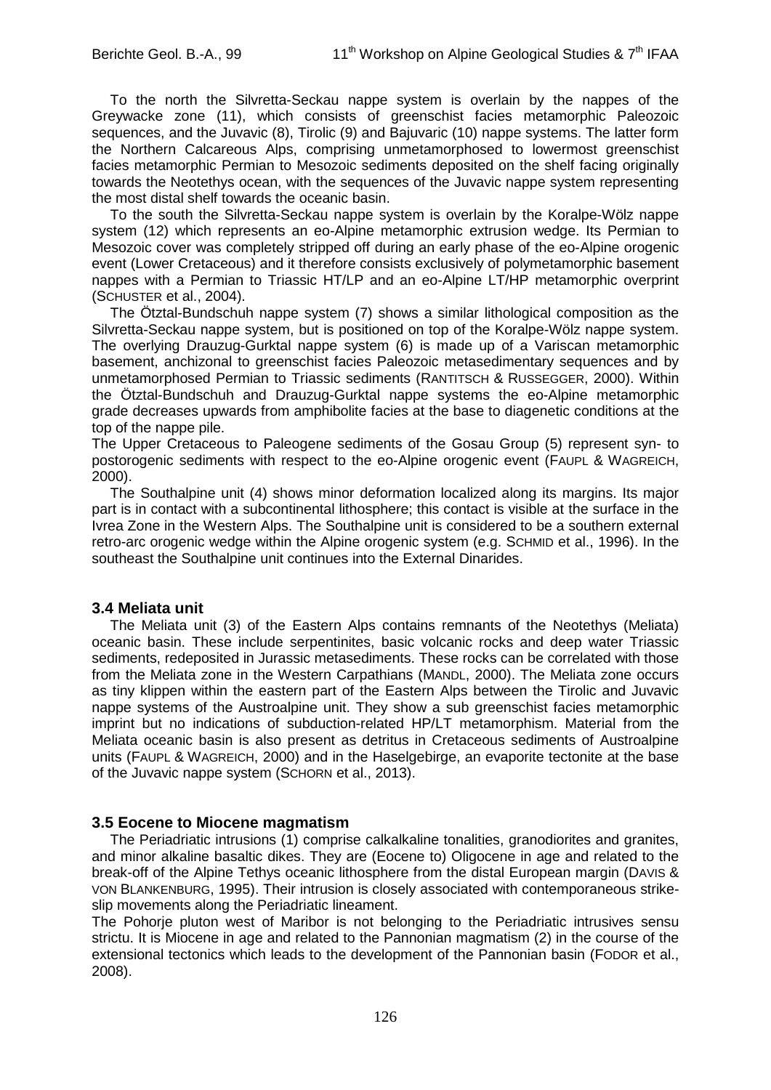To the north the Silvretta-Seckau nappe system is overlain by the nappes of the Greywacke zone (11), which consists of greenschist facies metamorphic Paleozoic sequences, and the Juvavic (8), Tirolic (9) and Bajuvaric (10) nappe systems. The latter form the Northern Calcareous Alps, comprising unmetamorphosed to lowermost greenschist facies metamorphic Permian to Mesozoic sediments deposited on the shelf facing originally towards the Neotethys ocean, with the sequences of the Juvavic nappe system representing the most distal shelf towards the oceanic basin.

To the south the Silvretta-Seckau nappe system is overlain by the Koralpe-Wölz nappe system (12) which represents an eo-Alpine metamorphic extrusion wedge. Its Permian to Mesozoic cover was completely stripped off during an early phase of the eo-Alpine orogenic event (Lower Cretaceous) and it therefore consists exclusively of polymetamorphic basement nappes with a Permian to Triassic HT/LP and an eo-Alpine LT/HP metamorphic overprint (SCHUSTER et al., 2004).

The Ötztal-Bundschuh nappe system (7) shows a similar lithological composition as the Silvretta-Seckau nappe system, but is positioned on top of the Koralpe-Wölz nappe system. The overlying Drauzug-Gurktal nappe system (6) is made up of a Variscan metamorphic basement, anchizonal to greenschist facies Paleozoic metasedimentary sequences and by unmetamorphosed Permian to Triassic sediments (RANTITSCH & RUSSEGGER, 2000). Within the Ötztal-Bundschuh and Drauzug-Gurktal nappe systems the eo-Alpine metamorphic grade decreases upwards from amphibolite facies at the base to diagenetic conditions at the top of the nappe pile.

The Upper Cretaceous to Paleogene sediments of the Gosau Group (5) represent syn- to postorogenic sediments with respect to the eo-Alpine orogenic event (FAUPL & WAGREICH, 2000).

The Southalpine unit (4) shows minor deformation localized along its margins. Its major part is in contact with a subcontinental lithosphere; this contact is visible at the surface in the Ivrea Zone in the Western Alps. The Southalpine unit is considered to be a southern external retro-arc orogenic wedge within the Alpine orogenic system (e.g. SCHMID et al., 1996). In the southeast the Southalpine unit continues into the External Dinarides.

### **3.4 Meliata unit**

The Meliata unit (3) of the Eastern Alps contains remnants of the Neotethys (Meliata) oceanic basin. These include serpentinites, basic volcanic rocks and deep water Triassic sediments, redeposited in Jurassic metasediments. These rocks can be correlated with those from the Meliata zone in the Western Carpathians (MANDL, 2000). The Meliata zone occurs as tiny klippen within the eastern part of the Eastern Alps between the Tirolic and Juvavic nappe systems of the Austroalpine unit. They show a sub greenschist facies metamorphic imprint but no indications of subduction-related HP/LT metamorphism. Material from the Meliata oceanic basin is also present as detritus in Cretaceous sediments of Austroalpine units (FAUPL & WAGREICH, 2000) and in the Haselgebirge, an evaporite tectonite at the base of the Juvavic nappe system (SCHORN et al., 2013).

#### **3.5 Eocene to Miocene magmatism**

The Periadriatic intrusions (1) comprise calkalkaline tonalities, granodiorites and granites, and minor alkaline basaltic dikes. They are (Eocene to) Oligocene in age and related to the break-off of the Alpine Tethys oceanic lithosphere from the distal European margin (DAVIS & VON BLANKENBURG, 1995). Their intrusion is closely associated with contemporaneous strikeslip movements along the Periadriatic lineament.

The Pohorje pluton west of Maribor is not belonging to the Periadriatic intrusives sensu strictu. It is Miocene in age and related to the Pannonian magmatism (2) in the course of the extensional tectonics which leads to the development of the Pannonian basin (FODOR et al., 2008).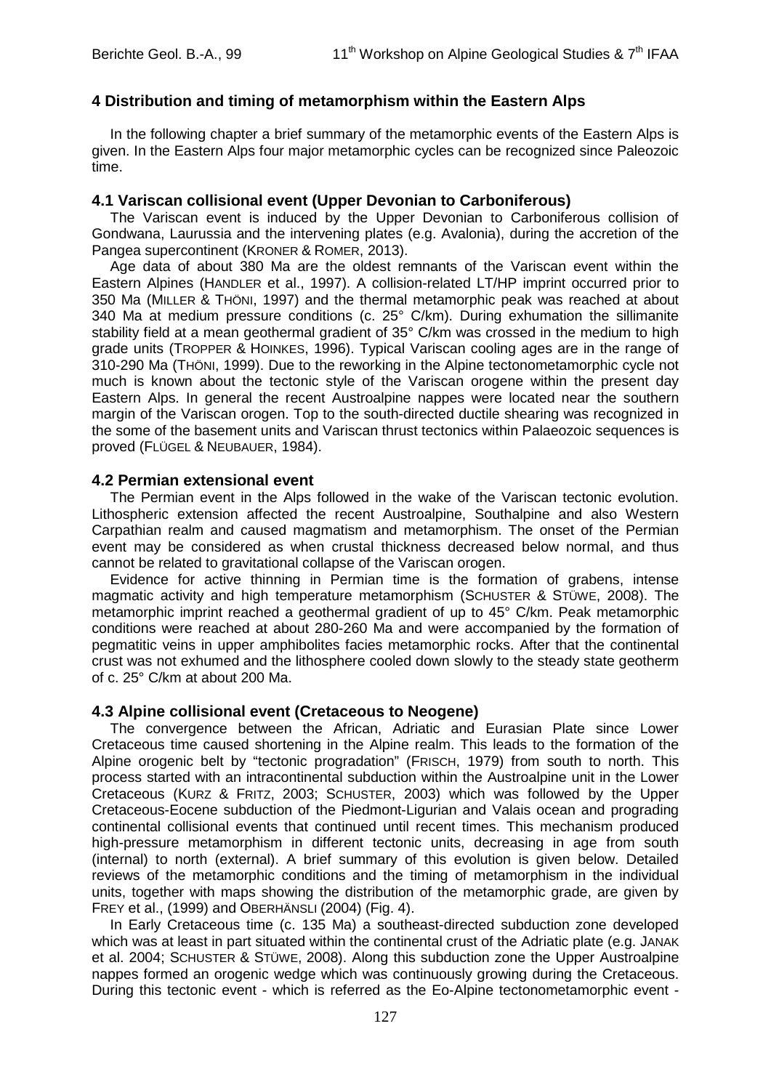## **4 Distribution and timing of metamorphism within the Eastern Alps**

In the following chapter a brief summary of the metamorphic events of the Eastern Alps is given. In the Eastern Alps four major metamorphic cycles can be recognized since Paleozoic time.

### **4.1 Variscan collisional event (Upper Devonian to Carboniferous)**

The Variscan event is induced by the Upper Devonian to Carboniferous collision of Gondwana, Laurussia and the intervening plates (e.g. Avalonia), during the accretion of the Pangea supercontinent (KRONER & ROMER, 2013).

Age data of about 380 Ma are the oldest remnants of the Variscan event within the Eastern Alpines (HANDLER et al., 1997). A collision-related LT/HP imprint occurred prior to 350 Ma (MILLER & THÖNI, 1997) and the thermal metamorphic peak was reached at about 340 Ma at medium pressure conditions (c.  $25^{\circ}$  C/km). During exhumation the sillimanite stability field at a mean geothermal gradient of 35° C/km was crossed in the medium to high grade units (TROPPER & HOINKES, 1996). Typical Variscan cooling ages are in the range of 310-290 Ma (THÖNI, 1999). Due to the reworking in the Alpine tectonometamorphic cycle not much is known about the tectonic style of the Variscan orogene within the present day Eastern Alps. In general the recent Austroalpine nappes were located near the southern margin of the Variscan orogen. Top to the south-directed ductile shearing was recognized in the some of the basement units and Variscan thrust tectonics within Palaeozoic sequences is proved (FLÜGEL & NEUBAUER, 1984).

### **4.2 Permian extensional event**

The Permian event in the Alps followed in the wake of the Variscan tectonic evolution. Lithospheric extension affected the recent Austroalpine, Southalpine and also Western Carpathian realm and caused magmatism and metamorphism. The onset of the Permian event may be considered as when crustal thickness decreased below normal, and thus cannot be related to gravitational collapse of the Variscan orogen.

Evidence for active thinning in Permian time is the formation of grabens, intense magmatic activity and high temperature metamorphism (SCHUSTER & STÜWE, 2008). The metamorphic imprint reached a geothermal gradient of up to 45° C/km. Peak metamorphic conditions were reached at about 280-260 Ma and were accompanied by the formation of pegmatitic veins in upper amphibolites facies metamorphic rocks. After that the continental crust was not exhumed and the lithosphere cooled down slowly to the steady state geotherm of c. 25° C/km at about 200 Ma.

## **4.3 Alpine collisional event (Cretaceous to Neogene)**

The convergence between the African, Adriatic and Eurasian Plate since Lower Cretaceous time caused shortening in the Alpine realm. This leads to the formation of the Alpine orogenic belt by "tectonic progradation" (FRISCH, 1979) from south to north. This process started with an intracontinental subduction within the Austroalpine unit in the Lower Cretaceous (KURZ & FRITZ, 2003; SCHUSTER, 2003) which was followed by the Upper Cretaceous-Eocene subduction of the Piedmont-Ligurian and Valais ocean and prograding continental collisional events that continued until recent times. This mechanism produced high-pressure metamorphism in different tectonic units, decreasing in age from south (internal) to north (external). A brief summary of this evolution is given below. Detailed reviews of the metamorphic conditions and the timing of metamorphism in the individual units, together with maps showing the distribution of the metamorphic grade, are given by FREY et al., (1999) and OBERHÄNSLI (2004) (Fig. 4).

In Early Cretaceous time (c. 135 Ma) a southeast-directed subduction zone developed which was at least in part situated within the continental crust of the Adriatic plate (e.g. JANAK et al. 2004; SCHUSTER & STÜWE, 2008). Along this subduction zone the Upper Austroalpine nappes formed an orogenic wedge which was continuously growing during the Cretaceous. During this tectonic event - which is referred as the Eo-Alpine tectonometamorphic event -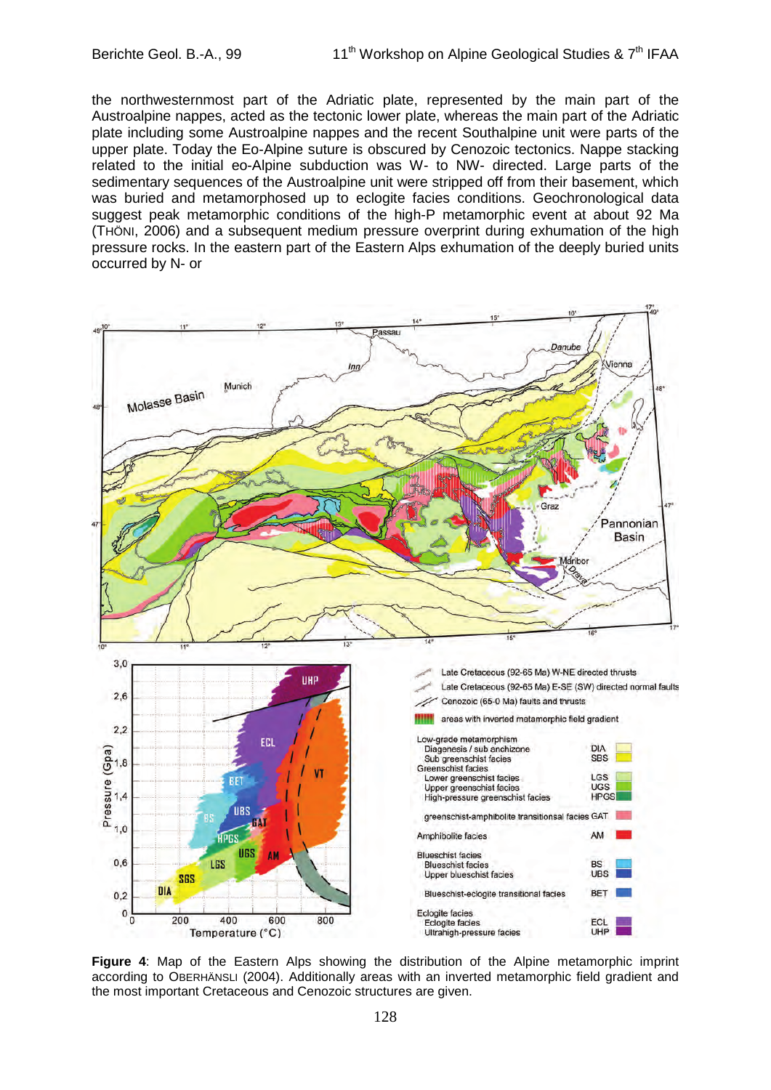the northwesternmost part of the Adriatic plate, represented by the main part of the Austroalpine nappes, acted as the tectonic lower plate, whereas the main part of the Adriatic plate including some Austroalpine nappes and the recent Southalpine unit were parts of the upper plate. Today the Eo-Alpine suture is obscured by Cenozoic tectonics. Nappe stacking related to the initial eo-Alpine subduction was W- to NW- directed. Large parts of the sedimentary sequences of the Austroalpine unit were stripped off from their basement, which was buried and metamorphosed up to eclogite facies conditions. Geochronological data suggest peak metamorphic conditions of the high-P metamorphic event at about 92 Ma (THÖNI, 2006) and a subsequent medium pressure overprint during exhumation of the high pressure rocks. In the eastern part of the Eastern Alps exhumation of the deeply buried units occurred by N- or



**Figure 4**: Map of the Eastern Alps showing the distribution of the Alpine metamorphic imprint according to OBERHÄNSLI (2004). Additionally areas with an inverted metamorphic field gradient and the most important Cretaceous and Cenozoic structures are given.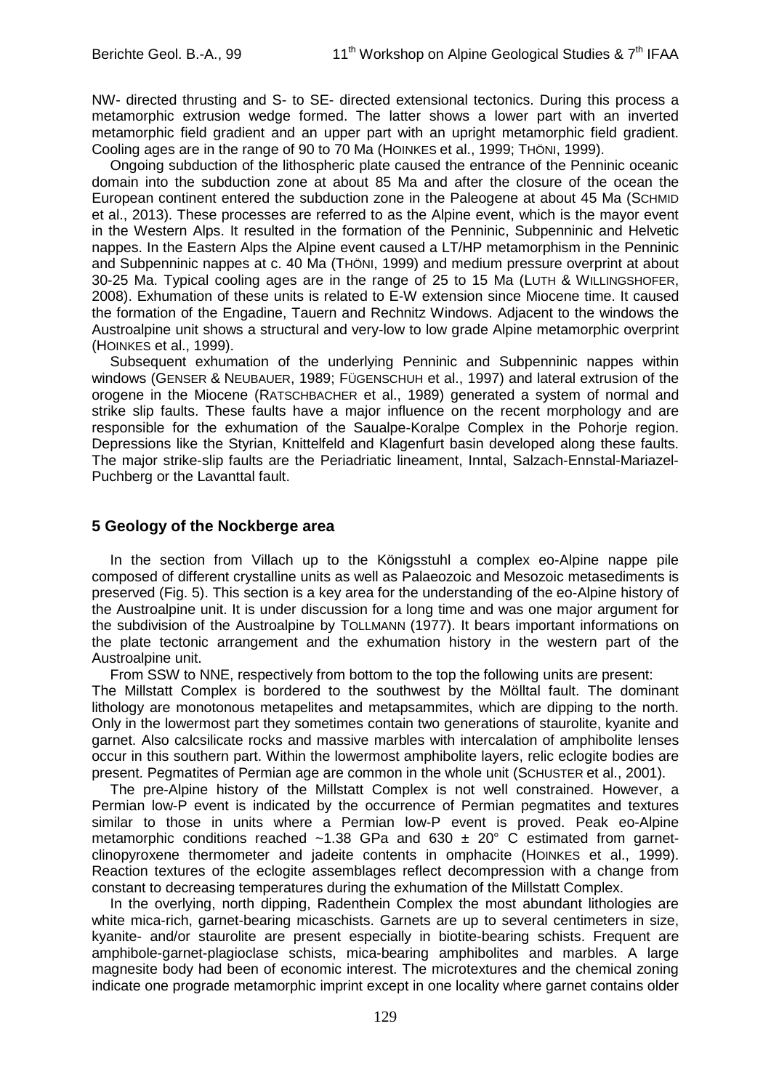NW- directed thrusting and S- to SE- directed extensional tectonics. During this process a metamorphic extrusion wedge formed. The latter shows a lower part with an inverted metamorphic field gradient and an upper part with an upright metamorphic field gradient. Cooling ages are in the range of 90 to 70 Ma (HOINKES et al., 1999; THÖNI, 1999).

Ongoing subduction of the lithospheric plate caused the entrance of the Penninic oceanic domain into the subduction zone at about 85 Ma and after the closure of the ocean the European continent entered the subduction zone in the Paleogene at about 45 Ma (SCHMID et al., 2013). These processes are referred to as the Alpine event, which is the mayor event in the Western Alps. It resulted in the formation of the Penninic, Subpenninic and Helvetic nappes. In the Eastern Alps the Alpine event caused a LT/HP metamorphism in the Penninic and Subpenninic nappes at c. 40 Ma (THÖNI, 1999) and medium pressure overprint at about 30-25 Ma. Typical cooling ages are in the range of 25 to 15 Ma (LUTH & WILLINGSHOFER, 2008). Exhumation of these units is related to E-W extension since Miocene time. It caused the formation of the Engadine, Tauern and Rechnitz Windows. Adjacent to the windows the Austroalpine unit shows a structural and very-low to low grade Alpine metamorphic overprint (HOINKES et al., 1999).

Subsequent exhumation of the underlying Penninic and Subpenninic nappes within windows (GENSER & NEUBAUER, 1989; FÜGENSCHUH et al., 1997) and lateral extrusion of the orogene in the Miocene (RATSCHBACHER et al., 1989) generated a system of normal and strike slip faults. These faults have a major influence on the recent morphology and are responsible for the exhumation of the Saualpe-Koralpe Complex in the Pohorje region. Depressions like the Styrian, Knittelfeld and Klagenfurt basin developed along these faults. The major strike-slip faults are the Periadriatic lineament, Inntal, Salzach-Ennstal-Mariazel-Puchberg or the Lavanttal fault.

## **5 Geology of the Nockberge area**

In the section from Villach up to the Königsstuhl a complex eo-Alpine nappe pile composed of different crystalline units as well as Palaeozoic and Mesozoic metasediments is preserved (Fig. 5). This section is a key area for the understanding of the eo-Alpine history of the Austroalpine unit. It is under discussion for a long time and was one major argument for the subdivision of the Austroalpine by TOLLMANN (1977). It bears important informations on the plate tectonic arrangement and the exhumation history in the western part of the Austroalpine unit.

From SSW to NNE, respectively from bottom to the top the following units are present: The Millstatt Complex is bordered to the southwest by the Mölltal fault. The dominant lithology are monotonous metapelites and metapsammites, which are dipping to the north. Only in the lowermost part they sometimes contain two generations of staurolite, kyanite and garnet. Also calcsilicate rocks and massive marbles with intercalation of amphibolite lenses occur in this southern part. Within the lowermost amphibolite layers, relic eclogite bodies are present. Pegmatites of Permian age are common in the whole unit (SCHUSTER et al., 2001).

The pre-Alpine history of the Millstatt Complex is not well constrained. However, a Permian low-P event is indicated by the occurrence of Permian pegmatites and textures similar to those in units where a Permian low-P event is proved. Peak eo-Alpine metamorphic conditions reached ~1.38 GPa and 630  $\pm$  20° C estimated from garnetclinopyroxene thermometer and jadeite contents in omphacite (HOINKES et al., 1999). Reaction textures of the eclogite assemblages reflect decompression with a change from constant to decreasing temperatures during the exhumation of the Millstatt Complex.

In the overlying, north dipping, Radenthein Complex the most abundant lithologies are white mica-rich, garnet-bearing micaschists. Garnets are up to several centimeters in size, kyanite- and/or staurolite are present especially in biotite-bearing schists. Frequent are amphibole-garnet-plagioclase schists, mica-bearing amphibolites and marbles. A large magnesite body had been of economic interest. The microtextures and the chemical zoning indicate one prograde metamorphic imprint except in one locality where garnet contains older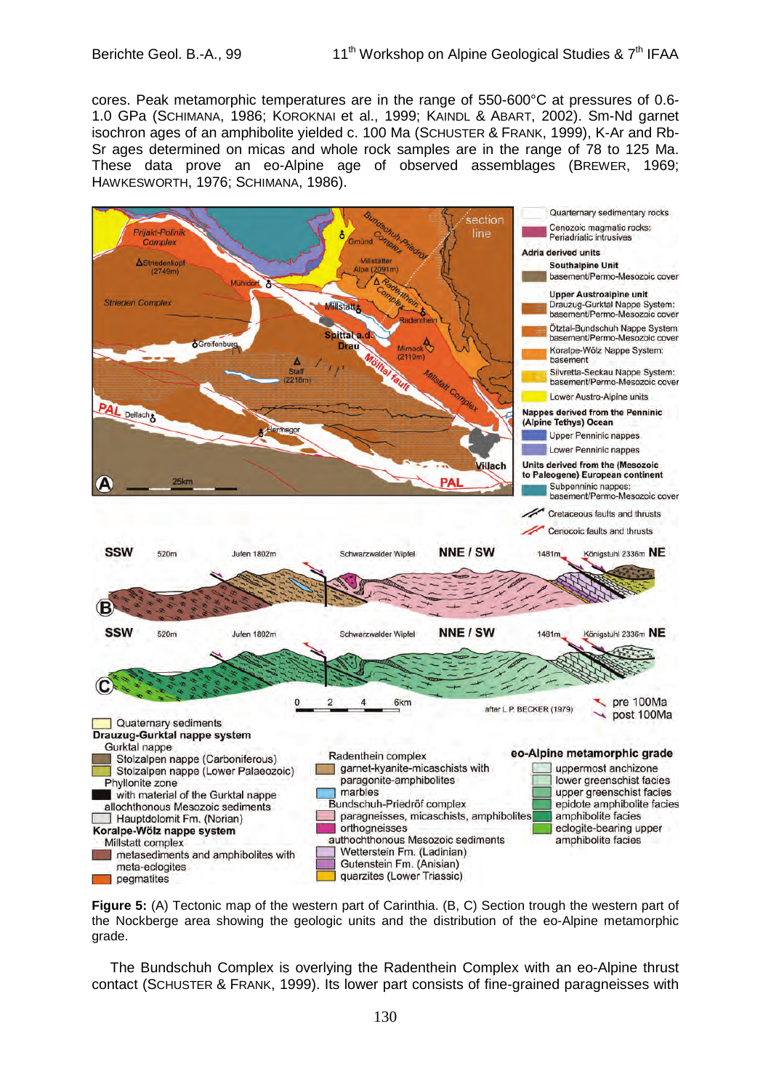cores. Peak metamorphic temperatures are in the range of 550-600°C at pressures of 0.6- 1.0 GPa (SCHIMANA, 1986; KOROKNAI et al., 1999; KAINDL & ABART, 2002). Sm-Nd garnet isochron ages of an amphibolite yielded c. 100 Ma (SCHUSTER & FRANK, 1999), K-Ar and Rb-Sr ages determined on micas and whole rock samples are in the range of 78 to 125 Ma. These data prove an eo-Alpine age of observed assemblages (BREWER, 1969; HAWKESWORTH, 1976; SCHIMANA, 1986).





The Bundschuh Complex is overlying the Radenthein Complex with an eo-Alpine thrust contact (SCHUSTER & FRANK, 1999). Its lower part consists of fine-grained paragneisses with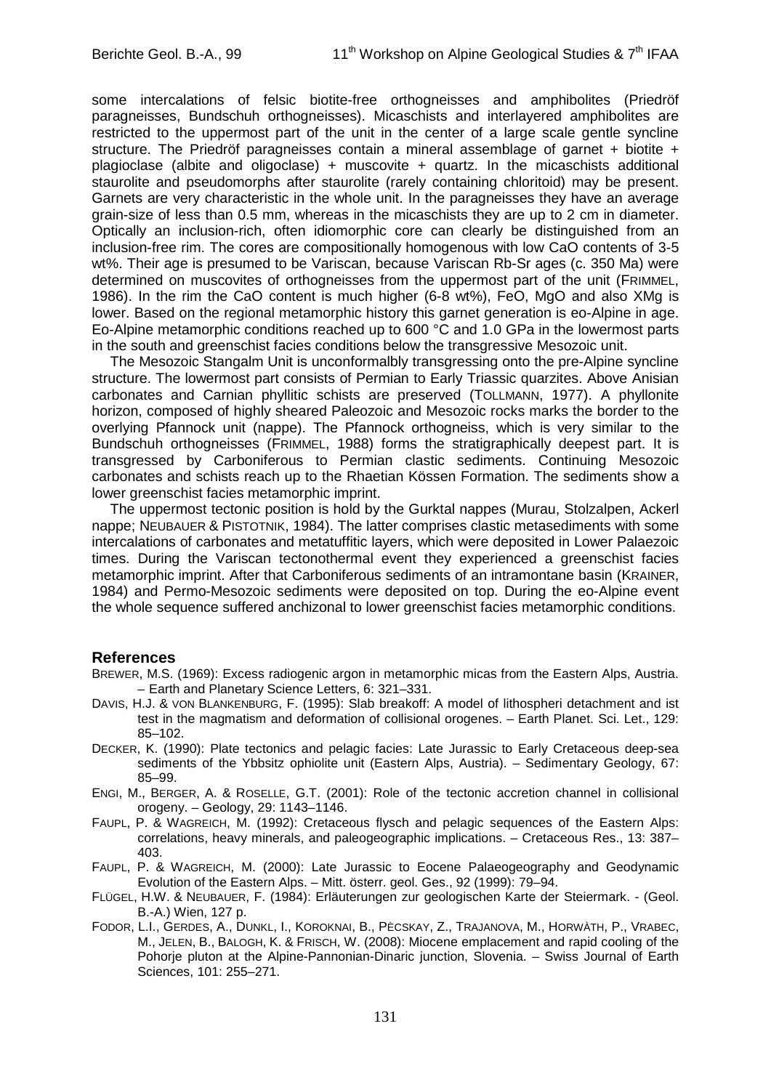some intercalations of felsic biotite-free orthogneisses and amphibolites (Priedröf paragneisses, Bundschuh orthogneisses). Micaschists and interlayered amphibolites are restricted to the uppermost part of the unit in the center of a large scale gentle syncline structure. The Priedröf paragneisses contain a mineral assemblage of garnet + biotite + plagioclase (albite and oligoclase) + muscovite + quartz. In the micaschists additional staurolite and pseudomorphs after staurolite (rarely containing chloritoid) may be present. Garnets are very characteristic in the whole unit. In the paragneisses they have an average grain-size of less than 0.5 mm, whereas in the micaschists they are up to 2 cm in diameter. Optically an inclusion-rich, often idiomorphic core can clearly be distinguished from an inclusion-free rim. The cores are compositionally homogenous with low CaO contents of 3-5 wt%. Their age is presumed to be Variscan, because Variscan Rb-Sr ages (c. 350 Ma) were determined on muscovites of orthogneisses from the uppermost part of the unit (FRIMMEL, 1986). In the rim the CaO content is much higher (6-8 wt%), FeO, MgO and also XMg is lower. Based on the regional metamorphic history this garnet generation is eo-Alpine in age. Eo-Alpine metamorphic conditions reached up to 600 °C and 1.0 GPa in the lowermost parts in the south and greenschist facies conditions below the transgressive Mesozoic unit.

The Mesozoic Stangalm Unit is unconformalbly transgressing onto the pre-Alpine syncline structure. The lowermost part consists of Permian to Early Triassic quarzites. Above Anisian carbonates and Carnian phyllitic schists are preserved (TOLLMANN, 1977). A phyllonite horizon, composed of highly sheared Paleozoic and Mesozoic rocks marks the border to the overlying Pfannock unit (nappe). The Pfannock orthogneiss, which is very similar to the Bundschuh orthogneisses (FRIMMEL, 1988) forms the stratigraphically deepest part. It is transgressed by Carboniferous to Permian clastic sediments. Continuing Mesozoic carbonates and schists reach up to the Rhaetian Kössen Formation. The sediments show a lower greenschist facies metamorphic imprint.

The uppermost tectonic position is hold by the Gurktal nappes (Murau, Stolzalpen, Ackerl nappe; NEUBAUER & PISTOTNIK, 1984). The latter comprises clastic metasediments with some intercalations of carbonates and metatuffitic layers, which were deposited in Lower Palaezoic times. During the Variscan tectonothermal event they experienced a greenschist facies metamorphic imprint. After that Carboniferous sediments of an intramontane basin (KRAINER, 1984) and Permo-Mesozoic sediments were deposited on top. During the eo-Alpine event the whole sequence suffered anchizonal to lower greenschist facies metamorphic conditions.

#### **References**

- BREWER, M.S. (1969): Excess radiogenic argon in metamorphic micas from the Eastern Alps, Austria. – Earth and Planetary Science Letters, 6: 321–331.
- DAVIS, H.J. & VON BLANKENBURG, F. (1995): Slab breakoff: A model of lithospheri detachment and ist test in the magmatism and deformation of collisional orogenes. – Earth Planet. Sci. Let., 129: 85–102.
- DECKER, K. (1990): Plate tectonics and pelagic facies: Late Jurassic to Early Cretaceous deep-sea sediments of the Ybbsitz ophiolite unit (Eastern Alps, Austria). – Sedimentary Geology, 67: 85–99.
- ENGI, M., BERGER, A. & ROSELLE, G.T. (2001): Role of the tectonic accretion channel in collisional orogeny. – Geology, 29: 1143–1146.
- FAUPL, P. & WAGREICH, M. (1992): Cretaceous flysch and pelagic sequences of the Eastern Alps: correlations, heavy minerals, and paleogeographic implications. – Cretaceous Res., 13: 387– 403.
- FAUPL, P. & WAGREICH, M. (2000): Late Jurassic to Eocene Palaeogeography and Geodynamic Evolution of the Eastern Alps. – Mitt. österr. geol. Ges., 92 (1999): 79–94.
- FLÜGEL, H.W. & NEUBAUER, F. (1984): Erläuterungen zur geologischen Karte der Steiermark. (Geol. B.-A.) Wien, 127 p.
- FODOR, L.I., GERDES, A., DUNKL, I., KOROKNAI, B., PÈCSKAY, Z., TRAJANOVA, M., HORWÀTH, P., VRABEC, M., JELEN, B., BALOGH, K. & FRISCH, W. (2008): Miocene emplacement and rapid cooling of the Pohorje pluton at the Alpine-Pannonian-Dinaric junction, Slovenia. – Swiss Journal of Earth Sciences, 101: 255–271.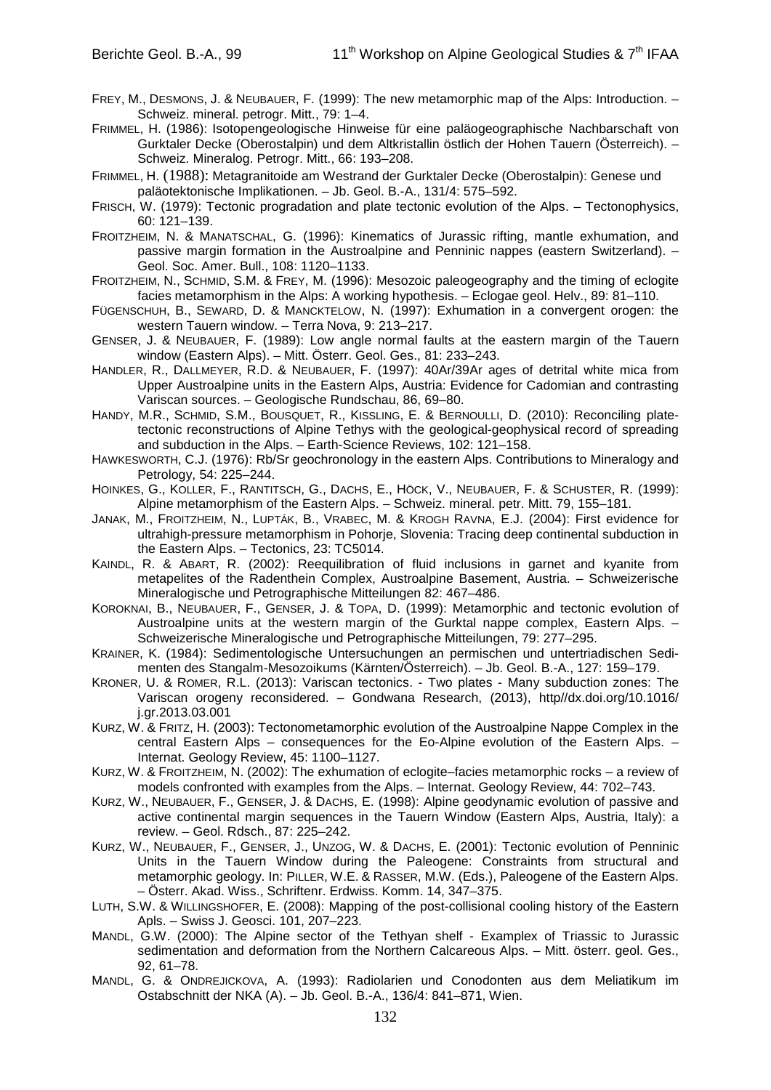- FREY, M., DESMONS, J. & NEUBAUER, F. (1999): The new metamorphic map of the Alps: Introduction. Schweiz. mineral. petrogr. Mitt., 79: 1–4.
- FRIMMEL, H. (1986): Isotopengeologische Hinweise für eine paläogeographische Nachbarschaft von Gurktaler Decke (Oberostalpin) und dem Altkristallin östlich der Hohen Tauern (Österreich). – Schweiz. Mineralog. Petrogr. Mitt., 66: 193–208.
- FRIMMEL, H. (1988): Metagranitoide am Westrand der Gurktaler Decke (Oberostalpin): Genese und paläotektonische Implikationen. – Jb. Geol. B.-A., 131/4: 575–592.
- FRISCH, W. (1979): Tectonic progradation and plate tectonic evolution of the Alps. Tectonophysics, 60: 121–139.
- FROITZHEIM, N. & MANATSCHAL, G. (1996): Kinematics of Jurassic rifting, mantle exhumation, and passive margin formation in the Austroalpine and Penninic nappes (eastern Switzerland). – Geol. Soc. Amer. Bull., 108: 1120–1133.
- FROITZHEIM, N., SCHMID, S.M. & FREY, M. (1996): Mesozoic paleogeography and the timing of eclogite facies metamorphism in the Alps: A working hypothesis. – Eclogae geol. Helv., 89: 81–110.
- FÜGENSCHUH, B., SEWARD, D. & MANCKTELOW, N. (1997): Exhumation in a convergent orogen: the western Tauern window. – Terra Nova, 9: 213–217.
- GENSER, J. & NEUBAUER, F. (1989): Low angle normal faults at the eastern margin of the Tauern window (Eastern Alps). – Mitt. Österr. Geol. Ges., 81: 233–243.
- HANDLER, R., DALLMEYER, R.D. & NEUBAUER, F. (1997): 40Ar/39Ar ages of detrital white mica from Upper Austroalpine units in the Eastern Alps, Austria: Evidence for Cadomian and contrasting Variscan sources. – Geologische Rundschau, 86, 69–80.
- HANDY, M.R., SCHMID, S.M., BOUSQUET, R., KISSLING, E. & BERNOULLI, D. (2010): Reconciling platetectonic reconstructions of Alpine Tethys with the geological-geophysical record of spreading and subduction in the Alps. – Earth-Science Reviews, 102: 121–158.
- HAWKESWORTH, C.J. (1976): Rb/Sr geochronology in the eastern Alps. Contributions to Mineralogy and Petrology, 54: 225–244.
- HOINKES, G., KOLLER, F., RANTITSCH, G., DACHS, E., HÖCK, V., NEUBAUER, F. & SCHUSTER, R. (1999): Alpine metamorphism of the Eastern Alps. – Schweiz. mineral. petr. Mitt. 79, 155–181.
- JANAK, M., FROITZHEIM, N., LUPTÁK, B., VRABEC, M. & KROGH RAVNA, E.J. (2004): First evidence for ultrahigh-pressure metamorphism in Pohorje, Slovenia: Tracing deep continental subduction in the Eastern Alps. – Tectonics, 23: TC5014.
- KAINDL, R. & ABART, R. (2002): Reequilibration of fluid inclusions in garnet and kyanite from metapelites of the Radenthein Complex, Austroalpine Basement, Austria. – Schweizerische Mineralogische und Petrographische Mitteilungen 82: 467–486.
- KOROKNAI, B., NEUBAUER, F., GENSER, J. & TOPA, D. (1999): Metamorphic and tectonic evolution of Austroalpine units at the western margin of the Gurktal nappe complex, Eastern Alps. – Schweizerische Mineralogische und Petrographische Mitteilungen, 79: 277–295.
- KRAINER, K. (1984): Sedimentologische Untersuchungen an permischen und untertriadischen Sedimenten des Stangalm-Mesozoikums (Kärnten/Österreich). – Jb. Geol. B.-A., 127: 159–179.
- KRONER, U. & ROMER, R.L. (2013): Variscan tectonics. Two plates Many subduction zones: The Variscan orogeny reconsidered. – Gondwana Research, (2013), http//dx.doi.org/10.1016/ j.gr.2013.03.001
- KURZ, W. & FRITZ, H. (2003): Tectonometamorphic evolution of the Austroalpine Nappe Complex in the central Eastern Alps – consequences for the Eo-Alpine evolution of the Eastern Alps. – Internat. Geology Review, 45: 1100–1127.
- KURZ, W. & FROITZHEIM, N. (2002): The exhumation of eclogite–facies metamorphic rocks a review of models confronted with examples from the Alps. – Internat. Geology Review, 44: 702–743.
- KURZ, W., NEUBAUER, F., GENSER, J. & DACHS, E. (1998): Alpine geodynamic evolution of passive and active continental margin sequences in the Tauern Window (Eastern Alps, Austria, Italy): a review. – Geol. Rdsch., 87: 225–242.
- KURZ, W., NEUBAUER, F., GENSER, J., UNZOG, W. & DACHS, E. (2001): Tectonic evolution of Penninic Units in the Tauern Window during the Paleogene: Constraints from structural and metamorphic geology. In: PILLER, W.E. & RASSER, M.W. (Eds.), Paleogene of the Eastern Alps. – Österr. Akad. Wiss., Schriftenr. Erdwiss. Komm. 14, 347–375.
- LUTH, S.W. & WILLINGSHOFER, E. (2008): Mapping of the post-collisional cooling history of the Eastern Apls. – Swiss J. Geosci. 101, 207–223.
- MANDL, G.W. (2000): The Alpine sector of the Tethyan shelf Examplex of Triassic to Jurassic sedimentation and deformation from the Northern Calcareous Alps. – Mitt. österr. geol. Ges., 92, 61–78.
- MANDL, G. & ONDREJICKOVA, A. (1993): Radiolarien und Conodonten aus dem Meliatikum im Ostabschnitt der NKA (A). – Jb. Geol. B.-A., 136/4: 841–871, Wien.